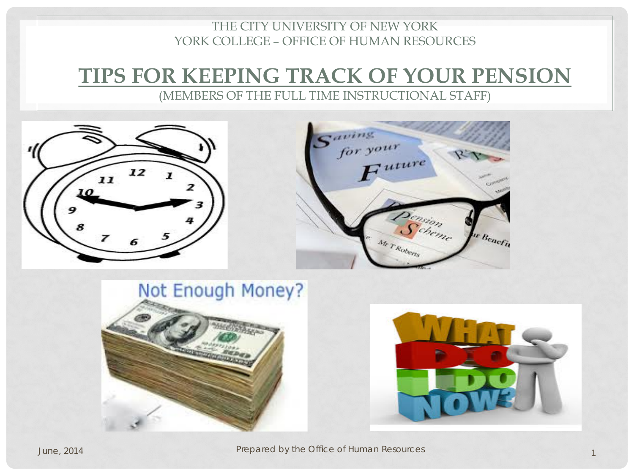#### THE CITY UNIVERSITY OF NEW YORK YORK COLLEGE – OFFICE OF HUMAN RESOURCES

# **TIPS FOR KEEPING TRACK OF YOUR PENSION**

(MEMBERS OF THE FULL TIME INSTRUCTIONAL STAFF)

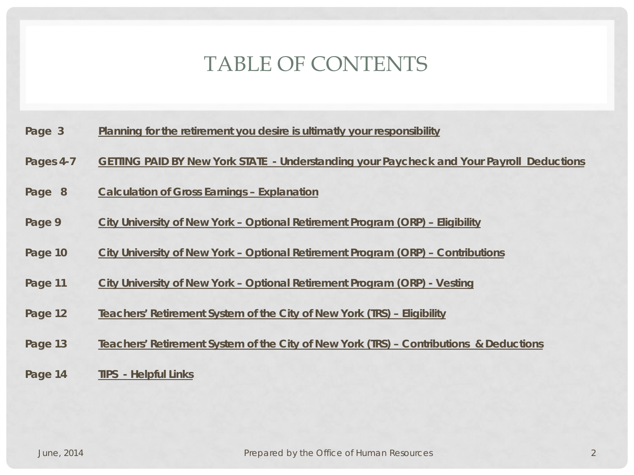# TABLE OF CONTENTS

- **Page 3 Planning for the retirement you desire is ultimatly your responsibility**
- **Pages 4-7 GETTING PAID BY New York STATE - Understanding your Paycheck and Your Payroll Deductions**
- **Page 8 Calculation of Gross Earnings – Explanation**
- **Page 9 City University of New York – Optional Retirement Program (ORP) – Eligibility**
- **Page 10 City University of New York – Optional Retirement Program (ORP) – Contributions**
- **Page 11 City University of New York – Optional Retirement Program (ORP) - Vesting**
- **Page 12 Teachers' Retirement System of the City of New York (TRS) – Eligibility**
- **Page 13 Teachers' Retirement System of the City of New York (TRS) – Contributions & Deductions**
- **Page 14 TIPS - Helpful Links**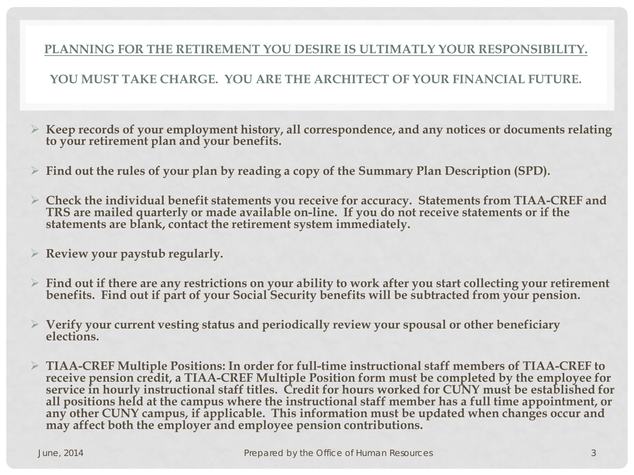#### **PLANNING FOR THE RETIREMENT YOU DESIRE IS ULTIMATLY YOUR RESPONSIBILITY.**

#### **YOU MUST TAKE CHARGE. YOU ARE THE ARCHITECT OF YOUR FINANCIAL FUTURE.**

- **Keep records of your employment history, all correspondence, and any notices or documents relating to your retirement plan and your benefits.**
- **Find out the rules of your plan by reading a copy of the Summary Plan Description (SPD).**
- **Check the individual benefit statements you receive for accuracy. Statements from TIAA-CREF and TRS are mailed quarterly or made available on-line. If you do not receive statements or if the statements are blank, contact the retirement system immediately.**
- **Review your paystub regularly.**
- **Find out if there are any restrictions on your ability to work after you start collecting your retirement benefits. Find out if part of your Social Security benefits will be subtracted from your pension.**
- **Verify your current vesting status and periodically review your spousal or other beneficiary elections.**
- **TIAA-CREF Multiple Positions: In order for full-time instructional staff members of TIAA-CREF to**  service in hourly instructional staff titles. Credit for hours worked for CUNY must be established for **all positions held at the campus where the instructional staff member has a full time appointment, or any other CUNY campus, if applicable. This information must be updated when changes occur and may affect both the employer and employee pension contributions.**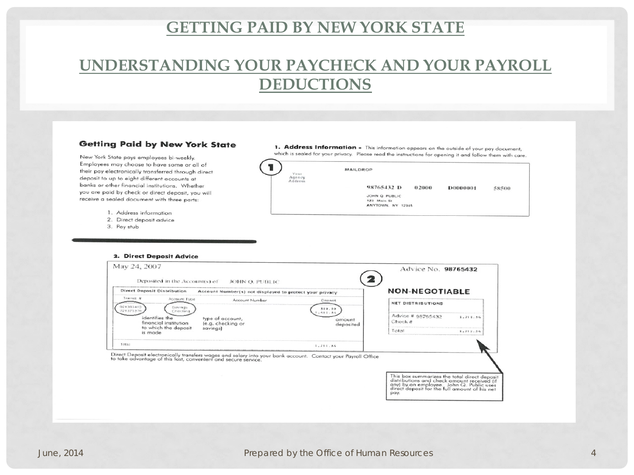## **UNDERSTANDING YOUR PAYCHECK AND YOUR PAYROLL DEDUCTIONS**

#### **Getting Paid by New York State**

New York State pays employees bi-weekly. Employees may choose to have some or all of their pay electronically transferred through direct deposit to up to eight different accounts at banks or other financial institutions. Whether you are paid by check or direct deposit, you will receive a sealed document with three parts:

- 1. Address information
- 2. Direct deposit advice
- 3. Pay stub

1. Address Information - This information appears on the outside of your pay document, which is sealed for your privacy. Please read the instructions for opening it and follow them with care.



2. Direct Deposit Advice

| May 24, 2007<br>Deposited in the Account(s) of<br>JOHN O. PUBLIC |                                                                                                              |                                           | Advice No. 98765432<br><b>NON-NEGOTIABLE</b>                                                                                                                                            |          |
|------------------------------------------------------------------|--------------------------------------------------------------------------------------------------------------|-------------------------------------------|-----------------------------------------------------------------------------------------------------------------------------------------------------------------------------------------|----------|
| Direct Deposit Distribution                                      |                                                                                                              |                                           |                                                                                                                                                                                         |          |
| Transit #<br>Account Type<br>021383462<br>Sarveners              | Account Number                                                                                               | Deposit                                   | <b>NET DISTRIBUTIONS</b>                                                                                                                                                                |          |
| 221375378<br>Checking<br>identifies the<br>financial institution | type of account,<br>(e.g. checking or                                                                        | 300.00<br>, 411.34<br>amount<br>deposited | Advice # 98765432<br>Check #                                                                                                                                                            | 1.711.36 |
| to which the deposit<br>is made                                  | savings)                                                                                                     |                                           | Total                                                                                                                                                                                   | 1,711.34 |
| Total                                                            |                                                                                                              | 1.711.34                                  |                                                                                                                                                                                         |          |
| to take advantage of this fast, convenient and secure service.   | Direct Deposit electronically transfers wages and salary into your bank account. Contact your Payroll Office |                                           | This box summarizes the total direct deposi<br>distributions and check amount received (if<br>any) by an employee. John Q. Public uses<br>direct deposit for the full amount of his net |          |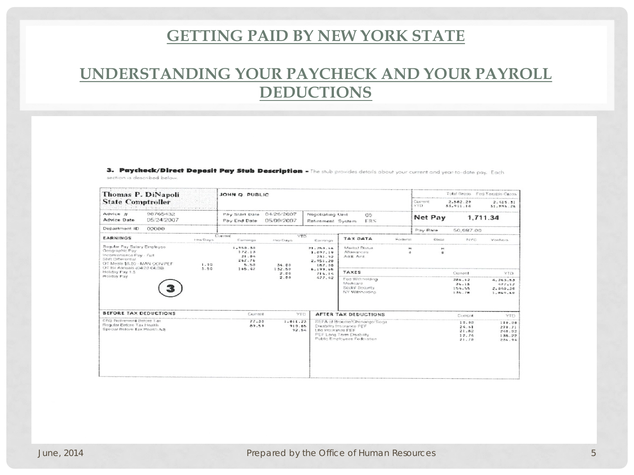# **UNDERSTANDING YOUR PAYCHECK AND YOUR PAYROLL DEDUCTIONS**

3. Paycheck/Direct Deposit Pay Stub Description - The stub provides details about your current and year-to-date pay. Each section is described below.

| Total Gross Fed Taxable Gross<br>JOHN Q. PUBLIC                                                                                                                                                                                                                                               |
|-----------------------------------------------------------------------------------------------------------------------------------------------------------------------------------------------------------------------------------------------------------------------------------------------|
| Castronat<br>2.562.20<br>2.915.31<br>YTD.<br>33,911.18<br>31,896.26                                                                                                                                                                                                                           |
| Pay Start Date 04/26/2007<br>Negotiating Unit<br>05<br>Net Pay<br>1,711.34<br>05/09/2007<br>Pay End Date<br>ERS<br>Retirement System                                                                                                                                                          |
| Pay Rate<br>50,987.00                                                                                                                                                                                                                                                                         |
| Correrat<br><b>YTD</b><br>TAX DATA<br><b>Foctocal</b><br>State<br><b>NYC</b><br><b>Morrisees</b><br>Earnings<br>His-Days<br>Earnings                                                                                                                                                          |
| 1,950.50<br>Marital Status<br>21,250.56<br>×<br>172.13<br><b>Allowances</b><br>1.697.19<br>m.<br>21.04<br>Addit Amt<br>231.92<br>267.76<br>2,951,20<br>5.50<br>34.00<br>187.00                                                                                                                |
| 165.47<br>132.50<br>6.199.65<br>TAXES<br>Current<br>YTD.<br>2.00<br>716.14                                                                                                                                                                                                                    |
| 2.00<br>477.42<br>Fed Withholding<br>286.62<br>4.263.53<br>Medicare<br>34.15<br>477.17<br>Sockal Sexurity<br>154.55<br>2.040.50<br>NY Withholding<br>135.78<br>1.869.60                                                                                                                       |
| Current<br>YEO.<br>AFTER TAX DEDUCTIONS<br>Curricolt<br>YTD.                                                                                                                                                                                                                                  |
| 77.35<br>1,011.73<br>SEEA of Broome/Chenango/Slogik<br>17.00<br>110.00<br>89.59<br>910.65<br>Disability Insurance PEF<br>24.81<br>270.71<br>92.54<br>t.ito incurance PEE<br>21.82<br>248.92<br>PEF Lovig Term Disability<br>12.74<br>138.22<br>Public Employees Federation<br>21.78<br>236.94 |
|                                                                                                                                                                                                                                                                                               |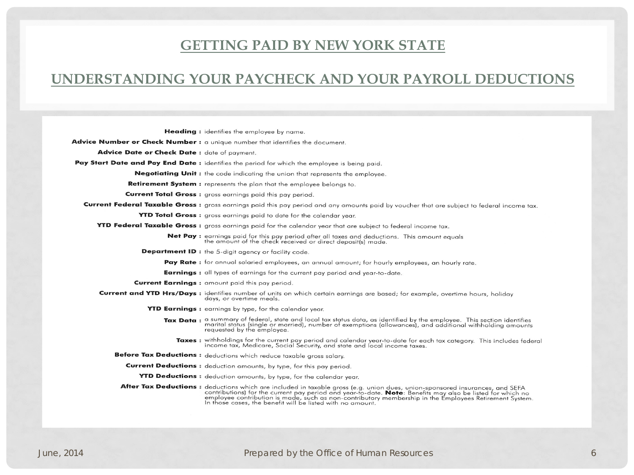#### **UNDERSTANDING YOUR PAYCHECK AND YOUR PAYROLL DEDUCTIONS**

Heading: identifies the employee by name.

Advice Number or Check Number : a unique number that identifies the document.

Advice Date or Check Date : date of payment.

Pay Start Date and Pay End Date : identifies the period for which the employee is being paid.

**Negotiating Unit:** the code indicating the union that represents the employee.

Retirement System : represents the plan that the employee belongs to.

**Current Total Gross:** gross earnings paid this pay period.

Current Federal Taxable Gross: gross earnings paid this pay period and any amounts paid by voucher that are subject to federal income tax.

YTD Total Gross: gross earnings paid to date for the calendar year.

YTD Federal Taxable Gross: gross earnings paid for the calendar year that are subject to federal income tax.

**Net Pay:** earnings paid for this pay period after all taxes and deductions. This amount equals the amount of the check received or direct deposit(s) made.

**Department ID:** the 5-digit agency or facility code.

Pay Rate: for annual salaried employees, an annual amount; for hourly employees, an hourly rate.

Earnings : all types of earnings for the current pay period and year-to-date.

Current Earnings : amount paid this pay period.

Current and YTD Hrs/Days : identifies number of units on which certain earnings are based; for example, overtime hours, holiday days, or overtime meals.

YTD Earnings: earnings by type, for the calendar year.

- Tax Data : a summary of federal, state and local tax status data, as identified by the employee. This section identifies marital status (single or married), number of exemptions (allowances), and additional withholding amounts requested by the employee.
	- Taxes : withholdings for the current pay period and calendar year-to-date for each tax category. This includes federal<br>income tax, Medicare, Social Security, and state and local income taxes.

Before Tax Deductions: deductions which reduce taxable gross salary.

**Current Deductions:** deduction amounts, by type, for this pay period.

YTD Deductions: deduction amounts, by type, for the calendar year.

After Tax Deductions: a deductions which are included in taxable gross (e.g. union dues, union-sponsored insurances, and SEFA<br>contributions) for the current pay period and year-to-date. Note: Benefits may also be listed fo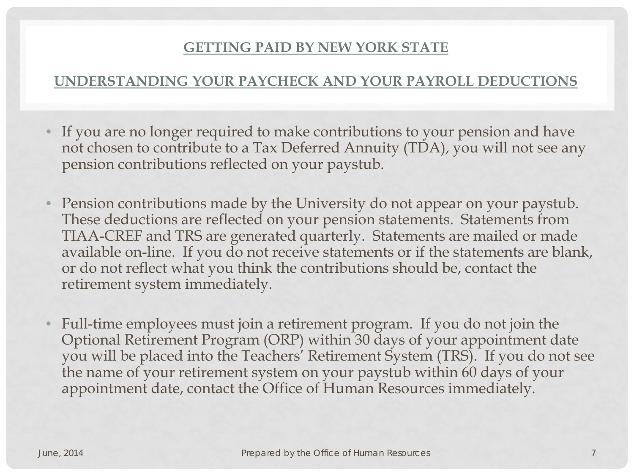### **UNDERSTANDING YOUR PAYCHECK AND YOUR PAYROLL DEDUCTIONS**

- If you are no longer required to make contributions to your pension and have not chosen to contribute to a Tax Deferred Annuity (TDA), you will not see any pension contributions reflected on your paystub.
- Pension contributions made by the University do not appear on your paystub. These deductions are reflected on your pension statements. Statements from TIAA-CREF and TRS are generated quarterly. Statements are mailed or made available on-line. If you do not receive statements or if the statements are blank, or do not reflect what you think the contributions should be, contact the retirement system immediately.
- Full-time employees must join a retirement program. If you do not join the Optional Retirement Program (ORP) within 30 days of your appointment date you will be placed into the Teachers' Retirement System (TRS). If you do not see the name of your retirement system on your paystub within 60 days of your appointment date, contact the Office of Human Resources immediately.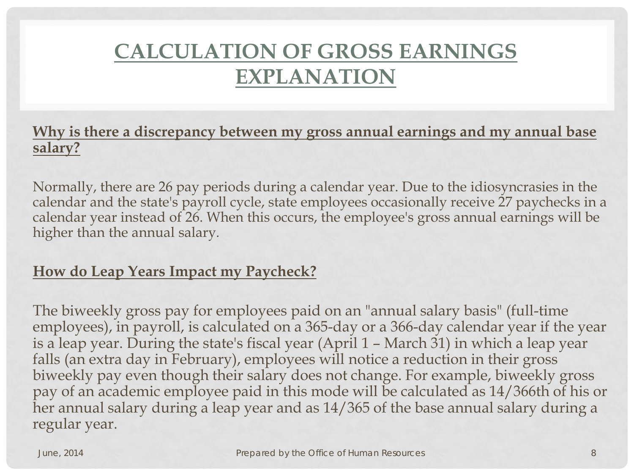# **CALCULATION OF GROSS EARNINGS EXPLANATION**

## **Why is there a discrepancy between my gross annual earnings and my annual base salary?**

Normally, there are 26 pay periods during a calendar year. Due to the idiosyncrasies in the calendar and the state's payroll cycle, state employees occasionally receive 27 paychecks in a calendar year instead of 26. When this occurs, the employee's gross annual earnings will be higher than the annual salary.

### **How do Leap Years Impact my Paycheck?**

The biweekly gross pay for employees paid on an "annual salary basis" (full-time employees), in payroll, is calculated on a 365-day or a 366-day calendar year if the year is a leap year. During the state's fiscal year (April 1 – March 31) in which a leap year falls (an extra day in February), employees will notice a reduction in their gross biweekly pay even though their salary does not change. For example, biweekly gross pay of an academic employee paid in this mode will be calculated as 14/366th of his or her annual salary during a leap year and as 14/365 of the base annual salary during a regular year.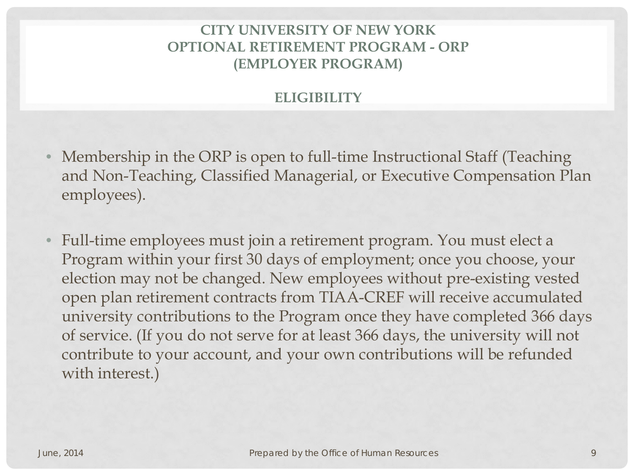### **CITY UNIVERSITY OF NEW YORK OPTIONAL RETIREMENT PROGRAM - ORP (EMPLOYER PROGRAM)**

#### **ELIGIBILITY**

- Membership in the ORP is open to full-time Instructional Staff (Teaching and Non-Teaching, Classified Managerial, or Executive Compensation Plan employees).
- Full-time employees must join a retirement program. You must elect a Program within your first 30 days of employment; once you choose, your election may not be changed. New employees without pre-existing vested open plan retirement contracts from TIAA-CREF will receive accumulated university contributions to the Program once they have completed 366 days of service. (If you do not serve for at least 366 days, the university will not contribute to your account, and your own contributions will be refunded with interest.)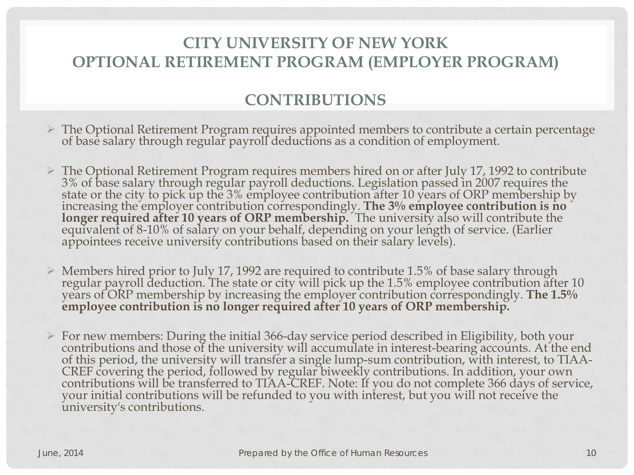# **CITY UNIVERSITY OF NEW YORK OPTIONAL RETIREMENT PROGRAM (EMPLOYER PROGRAM)**

### **CONTRIBUTIONS**

- The Optional Retirement Program requires appointed members to contribute a certain percentage of base salary through regular payroll deductions as a condition of employment.
- The Optional Retirement Program requires members hired on or after July 17, 1992 to contribute 3% of base salary through regular payroll deductions. Legislation passed in 2007 requires the state or the city to pick up the 3% employee contribution after 10 years of ORP membership by increasing the employer contribution correspondingly. The 3% employee contribution is no longer required after 10 years of ORP membership. The university also will contribute the equivalent of 8-10% of salary on your behalf, depending on your length of service. (Earlier appointees receive university contributi
- Members hired prior to July 17, 1992 are required to contribute 1.5% of base salary through regular payroll deduction. The state or city will pick up the 1.5% employee contribution after 10 years of ORP membership by increasing the employer contribution correspondingly. **The 1.5% employee contribution is no longer required after 10 years of ORP membership.**
- > For new members: During the initial 366-day service period described in Eligibility, both your contributions and those of the university will accumulate in interest-bearing accounts. At the end of this period, the univer contributions will be transferred to TIAA-CREF. Note: If you do not complete 366 days of service, your initial contributions will be refunded to you with interest, but you will not receive the university's contributions.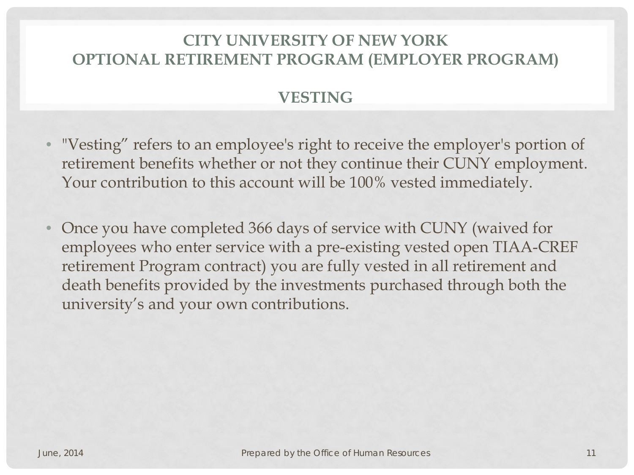# **CITY UNIVERSITY OF NEW YORK OPTIONAL RETIREMENT PROGRAM (EMPLOYER PROGRAM)**

# **VESTING**

- "Vesting" refers to an employee's right to receive the employer's portion of retirement benefits whether or not they continue their CUNY employment. Your contribution to this account will be 100% vested immediately.
- Once you have completed 366 days of service with CUNY (waived for employees who enter service with a pre-existing vested open TIAA-CREF retirement Program contract) you are fully vested in all retirement and death benefits provided by the investments purchased through both the university's and your own contributions.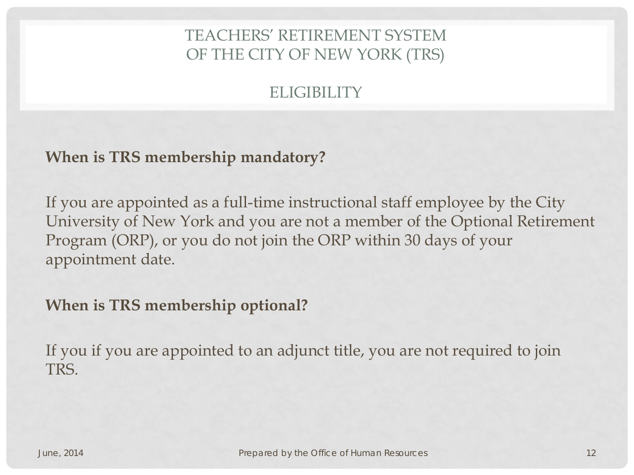# TEACHERS' RETIREMENT SYSTEM OF THE CITY OF NEW YORK (TRS)

# ELIGIBILITY

### **When is TRS membership mandatory?**

If you are appointed as a full-time instructional staff employee by the City University of New York and you are not a member of the Optional Retirement Program (ORP), or you do not join the ORP within 30 days of your appointment date.

## **When is TRS membership optional?**

If you if you are appointed to an adjunct title, you are not required to join TRS.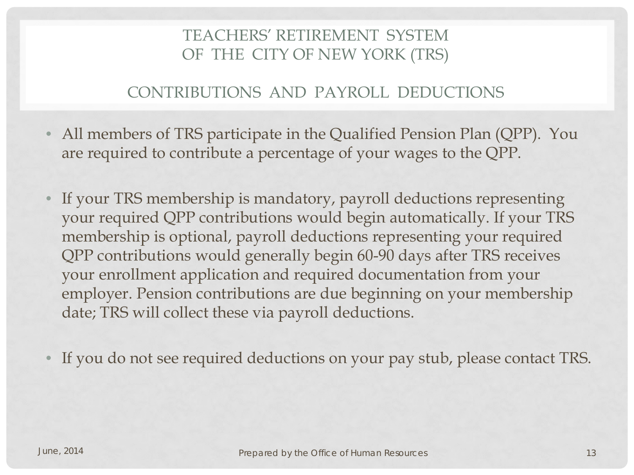# TEACHERS' RETIREMENT SYSTEM OF THE CITY OF NEW YORK (TRS)

#### CONTRIBUTIONS AND PAYROLL DEDUCTIONS

- All members of TRS participate in the Qualified Pension Plan (QPP). You are required to contribute a percentage of your wages to the QPP.
- If your TRS membership is mandatory, payroll deductions representing your required QPP contributions would begin automatically. If your TRS membership is optional, payroll deductions representing your required QPP contributions would generally begin 60-90 days after TRS receives your enrollment application and required documentation from your employer. Pension contributions are due beginning on your membership date; TRS will collect these via payroll deductions.
- If you do not see required deductions on your pay stub, please contact TRS.